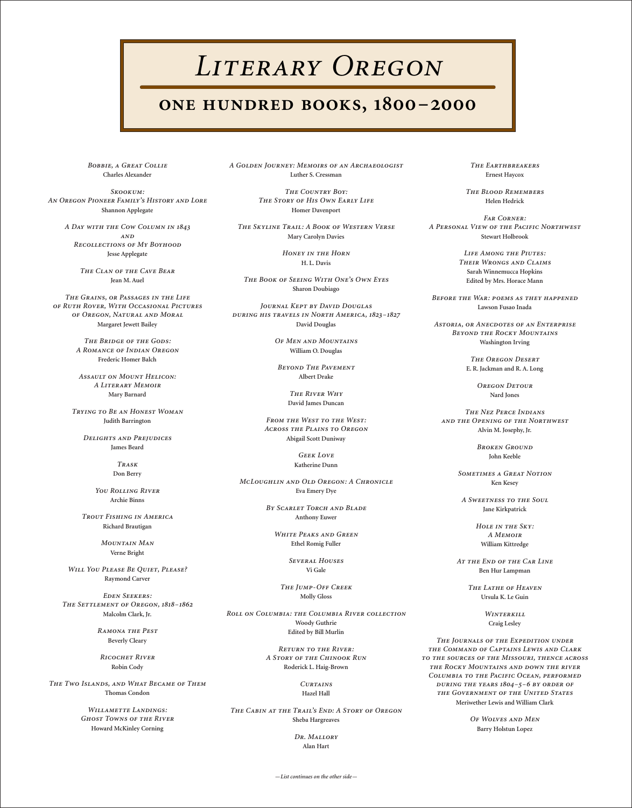## LITERARY OREGON

## **ONE HUNDRED BOOKS, 1800-2000**

BOBBIE, A GREAT COLLIE **Charles Alexander**

*S:* AN OREGON PIONEER FAMILY'S HISTORY AND LORE **Shannon Applegate**

A DAY WITH THE COW COLUMN IN 1843  $AND$ **RECOLLECTIONS OF MY BOYHOOD Jesse Applegate**

> *THE CLAN OF THE CAVE BEAR* **Jean M. Auel**

THE GRAINS, OR PASSAGES IN THE LIFE  $O$ *F* RUTH ROVER, WITH OCCASIONAL PICTURES *OF OREGON, NATURAL AND MORAL* **Margaret Jewett Bailey**

> **THE BRIDGE OF THE GODS: A ROMANCE OF INDIAN OREGON Frederic Homer Balch**

ASSAULT ON MOUNT HELICON: A LITERARY MEMOIR **Mary Barnard**

**TRYING TO BE AN HONEST WOMAN Judith Barrington**

*DELIGHTS AND PREJUDICES* 

*You Rolling River* **Archie Binns**

**TROUT FISHING IN AMERICA Richard Brautigan**

> *MOUNTAIN MAN* **Verne Bright**

*WILL YOU PLEASE BE QUIET, PLEASE?* **Raymond Carver**

 $E$  *<i>DEN* SEEKERS: **THE SETTLEMENT OF OREGON, 1818-1862 Malcolm Clark, Jr.**

> **RAMONA THE PEST Beverly Cleary**

**RICOCHET RIVER Robin Cody**

*THE TWO ISLANDS, AND WHAT BECAME OF THEM* **Thomas Condon**

> *WILLAMETTE LANDINGS: GHOST TOWNS OF THE RIVER* **Howard McKinley Corning**

A GOLDEN JOURNEY: MEMOIRS OF AN ARCHAEOLOGIST **Luther S. Cressman**

> *THE COUNTRY BOY:*  $THE STORY OF HIS Own EARLY LIEE$ **Homer Davenport**

**James Beard**

*T* **Don Berry** **THE SKYLINE TRAIL: A BOOK OF WESTERN VERSE Mary Carolyn Davies**

> **HONEY IN THE HORN H. L. Davis**

 $THE BOOK OF SEENG WITH ONE'S Own EYES$ **Sharon Doubiago**

*JOURNAL KEPT BY DAVID DOUGLAS DURING HIS TRAVELS IN NORTH AMERICA, 1823-1827* **David Douglas**

> *OF MEN AND MOUNTAINS* **William O. Douglas**

**BEYOND THE PAVEMENT Albert Drake**

> $THE$ *RIVER WHY* **David James Duncan**

*FROM THE WEST TO THE WEST: ACROSS THE PLAINS TO OREGON* **Abigail Scott Duniway**

> GEEK LOVE **Katherine Dunn**

**MCLOUGHLIN AND OLD OREGON: A CHRONICLE Eva Emery Dye**

> BY SCARLET TORCH AND BLADE **Anthony Euwer**

*WHITE PEAKS AND GREEN* **Ethel Romig Fuller**

> **SEVERAL HOUSES Vi Gale**

 $THE JUMP-OFF CREEK$ **Molly Gloss**

**ROLL ON COLUMBIA: THE COLUMBIA RIVER COLLECTION Woody Guthrie Edited by Bill Murlin**

> **RETURN TO THE RIVER:** A STORY OF THE CHINOOK RUN **Roderick L. Haig-Brown**

> > **CURTAINS Hazel Hall**

**THE CABIN AT THE TRAIL'S END: A STORY OF OREGON Sheba Hargreaves**

> DR. MALLORY **Alan Hart**

**THE EARTHBREAKERS Ernest Haycox**

**THE BLOOD REMEMBERS Helen Hedrick**

 $FAR$  *CORNER*: *A PERSONAL VIEW OF THE PACIFIC NORTHWEST* **Stewart Holbrook**

> *LIFE AMONG THE PIUTES:* **THEIR WRONGS AND CLAIMS Sarah Winnemucca Hopkins Edited by Mrs. Horace Mann**

BEFORE THE WAR: POEMS AS THEY HAPPENED **Lawson Fusao Inada**

ASTORIA, OR ANECDOTES OF AN ENTERPRISE **BEYOND THE ROCKY MOUNTAINS Washington Irving**

> $THEOREGON$  *DESERT* **E. R. Jackman and R. A. Long**

> > **OREGON DETOUR Nard Jones**

*THE NEZ PERCE INDIANS* **AND THE OPENING OF THE NORTHWEST Alvin M. Josephy, Jr.**

> **BROKEN GROUND John Keeble**

**SOMETIMES A GREAT NOTION Ken Kesey**

*A SWEETNESS TO THE SOUL* **Jane Kirkpatrick**

> *HOLE IN THE SKY: A M* **William Kittredge**

AT THE END OF THE CAR LINE **Ben Hur Lampman**

> **THE LATHE OF HEAVEN Ursula K. Le Guin**

> > **WINTERKILL Craig Lesley**

THE JOURNALS OF THE EXPEDITION UNDER *THE COMMAND OF CAPTAINS LEWIS AND CLARK* TO THE SOURCES OF THE MISSOURI, THENCE ACROSS *THE ROCKY MOUNTAINS AND DOWN THE RIVER COLUMBIA TO THE PACIFIC OCEAN, PERFORMED DURING THE YEARS 1804-5-6 BY ORDER OF* **THE GOVERNMENT OF THE UNITED STATES Meriwether Lewis and William Clark**

> *OF WOLVES AND MEN* **Barry Holstun Lopez**